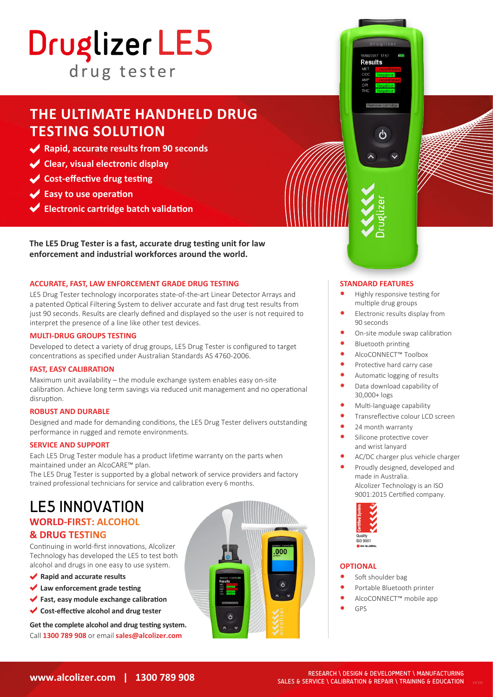# Druglizer LE5 drug tester

## **THE ULTIMATE HANDHELD DRUG TESTING SOLUTION**

- **Rapid, accurate results from 90 seconds**
- **Clear, visual electronic display**
- **Cost-effective drug testing**
- **Easy to use operation**
- **Electronic cartridge batch validation**

**The LE5 Drug Tester is a fast, accurate drug testing unit for law enforcement and industrial workforces around the world.**

#### **ACCURATE, FAST, LAW ENFORCEMENT GRADE DRUG TESTING**

LE5 Drug Tester technology incorporates state-of-the-art Linear Detector Arrays and a patented Optical Filtering System to deliver accurate and fast drug test results from just 90 seconds. Results are clearly defined and displayed so the user is not required to interpret the presence of a line like other test devices.

#### **MULTI-DRUG GROUPS TESTING**

Developed to detect a variety of drug groups, LE5 Drug Tester is configured to target concentrations as specified under Australian Standards AS 4760-2006.

#### **FAST, EASY CALIBRATION**

Maximum unit availability – the module exchange system enables easy on-site calibration. Achieve long term savings via reduced unit management and no operational disruption.

#### **ROBUST AND DURABLE**

Designed and made for demanding conditions, the LE5 Drug Tester delivers outstanding performance in rugged and remote environments.

#### **SERVICE AND SUPPORT**

Each LE5 Drug Tester module has a product lifetime warranty on the parts when maintained under an AlcoCARE™ plan.

The LE5 Drug Tester is supported by a global network of service providers and factory trained professional technicians for service and calibration every 6 months.

## LE5 INNOVATION **WORLD-FIRST: ALCOHOL**

### **& DRUG TESTING**

Continuing in world-first innovations, Alcolizer Technology has developed the LE5 to test both alcohol and drugs in one easy to use system.

- **Rapid and accurate results**
- **Law enforcement grade testing**
- **Fast, easy module exchange calibration**
- **Cost-effective alcohol and drug tester**

**Get the complete alcohol and drug testing system.** Call **1300 789 908** or email **sales@alcolizer.com**







- **•** Highly responsive testing for multiple drug groups
- **•** Electronic results display from 90 seconds
- **•** On-site module swap calibration
- **•** Bluetooth printing
- **•** AlcoCONNECT™ Toolbox
- **•** Protective hard carry case
- **•** Automatic logging of results
- **•** Data download capability of 30,000+ logs
- **•** Multi-language capability
- **•** Transreflective colour LCD screen
- **•** 24 month warranty
- **•** Silicone protective cover and wrist lanyard
- **•** AC/DC charger plus vehicle charger
- **•** Proudly designed, developed and made in Australia. Alcolizer Technology is an ISO 9001:2015 Certified company.



#### **OPTIONAL**

- **•** Soft shoulder bag
- **•** Portable Bluetooth printer
- **•** AlcoCONNECT™ mobile app
- **•** GPS